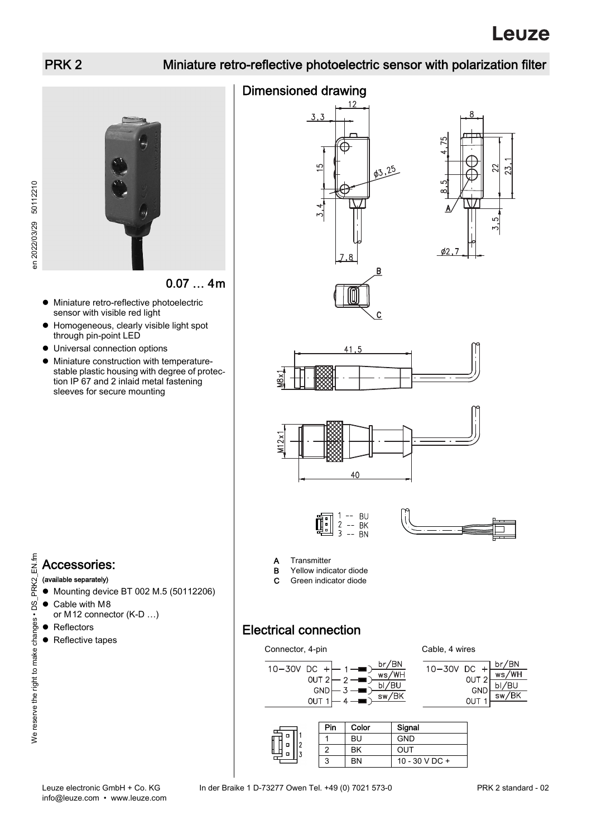## PRK 2 Miniature retro-reflective photoelectric sensor with polarization filter



en 2022/03/29 50112210 en 2022/03/29 50112210

0.07 … 4m

- Miniature retro-reflective photoelectric sensor with visible red light
- Homogeneous, clearly visible light spot through pin-point LED
- Universal connection options
- Miniature construction with temperaturestable plastic housing with degree of protection IP 67 and 2 inlaid metal fastening sleeves for secure mounting







 $\mathcal{C}_{\mathcal{C}}$ 





- 
- **A** Transmitter<br>**B** Yellow indic Yellow indicator diode
- C Green indicator diode
- (available separately) ● Mounting device BT 002 M.5 (50112206) ● Cable with M8
	- or M12 connector (K-D …)
	- Reflectors
	- Reflective tapes

Electrical connection



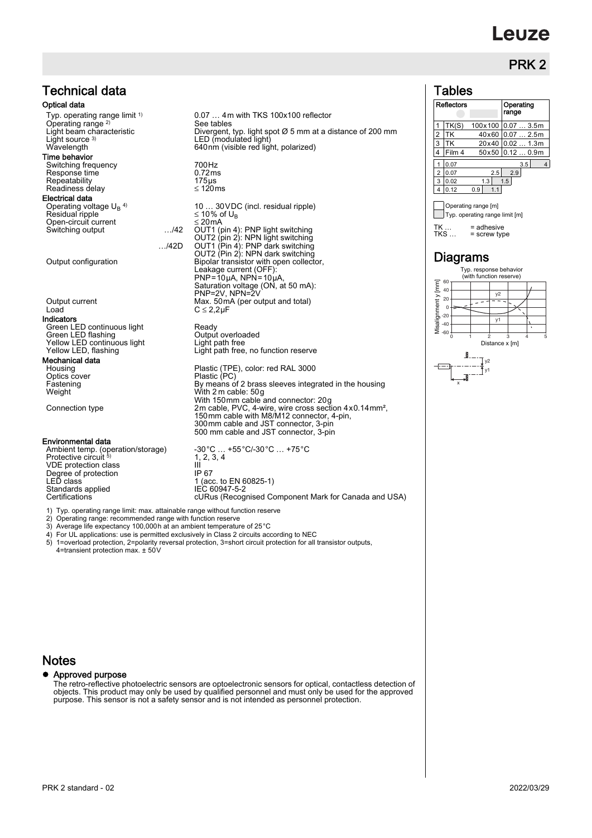# **euze**

## PRK<sub>2</sub>

### Tables

|                                                                                                                            | טטושט ו                                                 |  |  |
|----------------------------------------------------------------------------------------------------------------------------|---------------------------------------------------------|--|--|
| $0.07$ 4 m with TKS 100x100 reflector                                                                                      | <b>Reflectors</b><br>Operating<br>range                 |  |  |
| See tables                                                                                                                 | TK(S)<br>$100 \times 100$ 0.07  3.5m                    |  |  |
| Divergent, typ. light spot Ø 5 mm at a distance of 200 mm                                                                  | $\overline{2}$<br>TK<br>40x60 0.07  2.5m                |  |  |
| LED (modulated light)                                                                                                      | 3<br>20x40 0.02  1.3m<br>TK                             |  |  |
| 640nm (visible red light, polarized)                                                                                       | Film 4<br>$50x50$ 0.12  0.9m<br>4                       |  |  |
| 700Hz                                                                                                                      | 3.5<br>0.07<br>4                                        |  |  |
| 0.72ms                                                                                                                     | $\overline{2}$<br>2.9<br>0.07<br>2.5                    |  |  |
| $175µ$ s                                                                                                                   | 1.3<br>1.5<br>3<br>0.02                                 |  |  |
| ≤ 120ms                                                                                                                    | 0.9<br>0.12<br>4<br>1.1                                 |  |  |
| 10  30 VDC (incl. residual ripple)<br>$\leq$ 10% of U <sub>B</sub>                                                         | Operating range [m]<br>Typ. operating range limit [m]   |  |  |
| $\leq$ 20 mA<br>OUT1 (pin 4): PNP light switching<br>OUT2 (pin 2): NPN light switching<br>OUT1 (Pin 4): PNP dark switching | TK<br>$=$ adhesive<br>TKS<br>$=$ screw type             |  |  |
| OUT2 (Pin 2): NPN dark switching<br>Bipolar transistor with open collector,                                                | Diagrams                                                |  |  |
| Leakage current (OFF):<br>$PNP = 10 \mu A$ , $NPN = 10 \mu A$ ,                                                            | Typ. response behavior<br>(with function reserve)<br>60 |  |  |
| Saturation voltage (ON, at 50 mA):<br>PNP=2V, NPN=2V                                                                       | Misalignment y [mm]<br>40<br>v <sub>2</sub>             |  |  |
| Max. 50 mA (per output and total)                                                                                          | 20<br>$\Omega$                                          |  |  |
| $C \leq 2.2 \mu F$                                                                                                         | $-20$                                                   |  |  |
| Ready<br>Output overloaded                                                                                                 | y1<br>$-40$<br>$\lambda$<br>$-60$                       |  |  |



Technical data Optical data Typ. operating range limit <sup>1)</sup><br>Operating range <sup>2)</sup> Light source 3)<br>Wavelength Wavelength 640nm (visible red light, polarized) Time behavior Switching frequency 700Hz Response time 6.72ms<br>Repeatability 175 uses Repeatability 175µs<br>Readiness delay strategy in the 120ms Readiness delay Electrical data Operating voltage  $U_B$ <sup>4)</sup> Residual ripple  $≤ 10%$  of U<sub>B</sub><br>Open-circuit current  $≤ 20mA$ Switching output **EXALL 100 MW 100 MW 100 MW 100 MW 100 MW** 5 Switching Switching OUT2 (pin 2): NPN light switching …/42D OUT1 (Pin 4): PNP dark switching Output configuration **Bipolar** transistor with open collector, Output current Max. 50mA (per output and total)<br>
Load C ≤ 2,2µF Indicators The Creen LED continuous light The Ready<br>
Green LED flashing The Cutput overloaded Green LED flashing Coutput overloaded Yellow LED continuous light Coutput Coutput overloaded Velocity County Yellow LED continuous light<br>Yellow LED, flashing Mechanical data<br>Housing Optics cover<br>Fastening Fastening **By means of 2 brass sleeves integrated in the housing** Weight<br>
With 2m cable: 50g<br>
With 150mm cable and connector: 20g<br>
2m cable, PVC, 4-wire, wire cross section 4x0.14mm<sup>2</sup>,<br>
150mm cable with M8/M12 connector, 4-pin,

Environmental data

Ambient temp. (operation/storage)  $-30^{\circ}$ C ... +55°C/-30°C ... +75°C Protective circuit 5) VDE protection class III (1994)<br>Degree of protection TP 67 Degree of protection<br>I FD class Standards applied<br>Certifications

1) Typ. operating range limit: max. attainable range without function reserve

2) Operating range: recommended range with function reserve

3) Average life expectancy 100,000h at an ambient temperature of 25°C 4) For UL applications: use is permitted exclusively in Class 2 circuits according to NEC

5) 1=overload protection, 2=polarity reversal protection, 3=short circuit protection for all transistor outputs, 4=transient protection max. ± 50V

 $1, 2, 3, 4$ 

1 (acc. to EN 60825-1)<br>IEC 60947-5-2

Light path free, no function reserve

Plastic (TPE), color: red RAL 3000<br>Plastic (PC)

300mm cable and JST connector, 3-pin 500 mm cable and JST connector, 3-pin

cURus (Recognised Component Mark for Canada and USA)

#### **Notes**

#### Approved purpose

The retro-reflective photoelectric sensors are optoelectronic sensors for optical, contactless detection of objects. This product may only be used by qualified personnel and must only be used for the approved purpose. This sensor is not a safety sensor and is not intended as personnel protection.